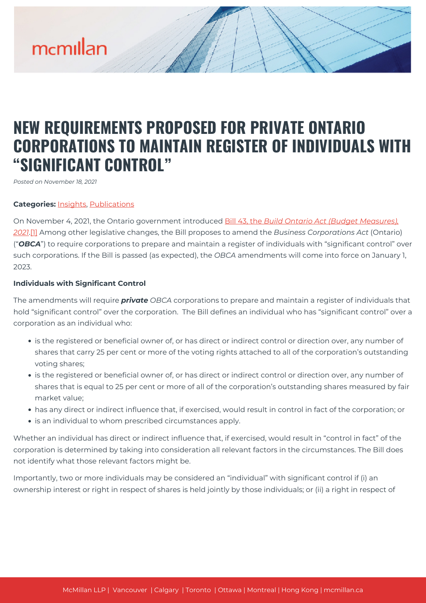# mcmillan

# **NEW REQUIREMENTS PROPOSED FOR PRIVATE ONTARIO CORPORATIONS TO MAINTAIN REGISTER OF INDIVIDUALS WITH "SIGNIFICANT CONTROL"**

*Posted on November 18, 2021*

# **Categories:** [Insights,](https://mcmillan.ca/insights/) [Publications](https://mcmillan.ca/insights/publications/)

On November 4, 2021, the Ontario government introduced [Bill 43, the](https://www.ola.org/en/legislative-business/bills/parliament-42/session-2/bill-43) *[Build Ontario Act \(Budget Measures\),](https://www.ola.org/en/legislative-business/bills/parliament-42/session-2/bill-43) [2021](https://www.ola.org/en/legislative-business/bills/parliament-42/session-2/bill-43)*[.\[1\]](#page--1-0) Among other legislative changes, the Bill proposes to amend the *Business Corporations Act* (Ontario) ("*OBCA*") to require corporations to prepare and maintain a register of individuals with "significant control" over such corporations. If the Bill is passed (as expected), the *OBCA* amendments will come into force on January 1, 2023.

# **Individuals with Significant Control**

The amendments will require *private OBCA* corporations to prepare and maintain a register of individuals that hold "significant control" over the corporation. The Bill defines an individual who has "significant control" over a corporation as an individual who:

- is the registered or beneficial owner of, or has direct or indirect control or direction over, any number of shares that carry 25 per cent or more of the voting rights attached to all of the corporation's outstanding voting shares;
- is the registered or beneficial owner of, or has direct or indirect control or direction over, any number of shares that is equal to 25 per cent or more of all of the corporation's outstanding shares measured by fair market value;
- has any direct or indirect influence that, if exercised, would result in control in fact of the corporation; or
- is an individual to whom prescribed circumstances apply.

Whether an individual has direct or indirect influence that, if exercised, would result in "control in fact" of the corporation is determined by taking into consideration all relevant factors in the circumstances. The Bill does not identify what those relevant factors might be.

Importantly, two or more individuals may be considered an "individual" with significant control if (i) an ownership interest or right in respect of shares is held jointly by those individuals; or (ii) a right in respect of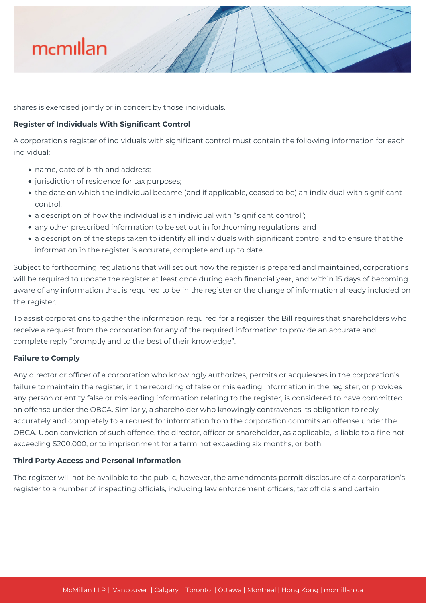

shares is exercised jointly or in concert by those individuals.

# **Register of Individuals With Significant Control**

A corporation's register of individuals with significant control must contain the following information for each individual:

- name, date of birth and address;
- jurisdiction of residence for tax purposes;
- the date on which the individual became (and if applicable, ceased to be) an individual with significant control;
- a description of how the individual is an individual with "significant control";
- any other prescribed information to be set out in forthcoming regulations; and
- a description of the steps taken to identify all individuals with significant control and to ensure that the information in the register is accurate, complete and up to date.

Subject to forthcoming regulations that will set out how the register is prepared and maintained, corporations will be required to update the register at least once during each financial year, and within 15 days of becoming aware of any information that is required to be in the register or the change of information already included on the register.

To assist corporations to gather the information required for a register, the Bill requires that shareholders who receive a request from the corporation for any of the required information to provide an accurate and complete reply "promptly and to the best of their knowledge".

### **Failure to Comply**

Any director or officer of a corporation who knowingly authorizes, permits or acquiesces in the corporation's failure to maintain the register, in the recording of false or misleading information in the register, or provides any person or entity false or misleading information relating to the register, is considered to have committed an offense under the OBCA. Similarly, a shareholder who knowingly contravenes its obligation to reply accurately and completely to a request for information from the corporation commits an offense under the OBCA. Upon conviction of such offence, the director, officer or shareholder, as applicable, is liable to a fine not exceeding \$200,000, or to imprisonment for a term not exceeding six months, or both.

### **Third Party Access and Personal Information**

The register will not be available to the public, however, the amendments permit disclosure of a corporation's register to a number of inspecting officials, including law enforcement officers, tax officials and certain